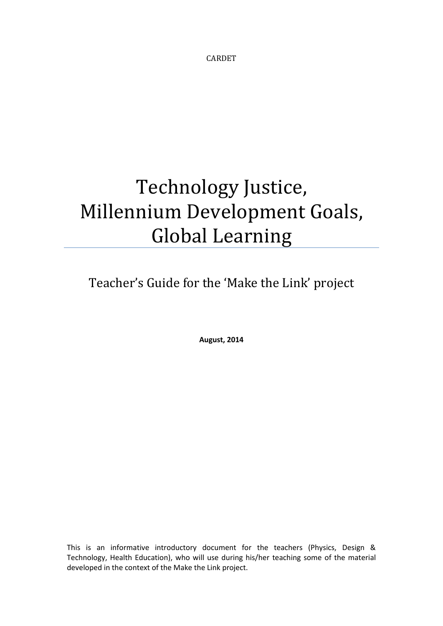CARDET

# Technology Justice, Millennium Development Goals, Global Learning

Teacher's Guide for the 'Make the Link' project

**August, 2014**

This is an informative introductory document for the teachers (Physics, Design & Technology, Health Education), who will use during his/her teaching some of the material developed in the context of the Make the Link project.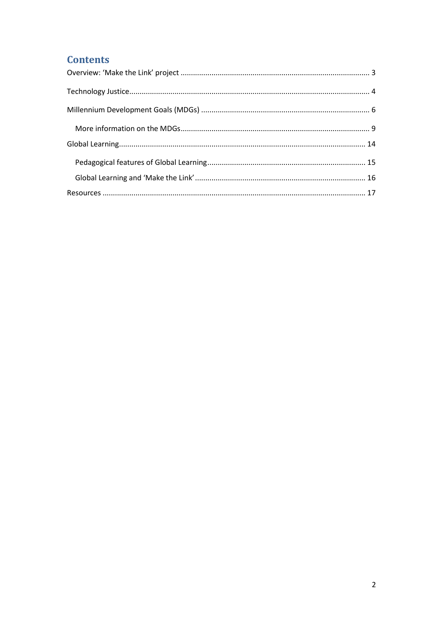# **Contents**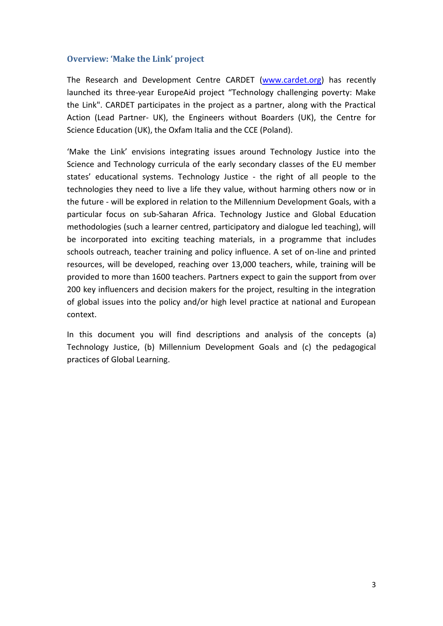## <span id="page-2-0"></span>**Overview: 'Make the Link' project**

The Research and Development Centre CARDET [\(www.cardet.org\)](http://www.cardet.org/) has recently launched its three-year EuropeAid project "Technology challenging poverty: Make the Link". CARDET participates in the project as a partner, along with the Practical Action (Lead Partner- UK), the Engineers without Boarders (UK), the Centre for Science Education (UK), the Oxfam Italia and the CCE (Poland).

'Make the Link' envisions integrating issues around Technology Justice into the Science and Technology curricula of the early secondary classes of the EU member states' educational systems. Technology Justice - the right of all people to the technologies they need to live a life they value, without harming others now or in the future - will be explored in relation to the Millennium Development Goals, with a particular focus on sub-Saharan Africa. Technology Justice and Global Education methodologies (such a learner centred, participatory and dialogue led teaching), will be incorporated into exciting teaching materials, in a programme that includes schools outreach, teacher training and policy influence. A set of on-line and printed resources, will be developed, reaching over 13,000 teachers, while, training will be provided to more than 1600 teachers. Partners expect to gain the support from over 200 key influencers and decision makers for the project, resulting in the integration of global issues into the policy and/or high level practice at national and European context.

In this document you will find descriptions and analysis of the concepts (a) Technology Justice, (b) Millennium Development Goals and (c) the pedagogical practices of Global Learning.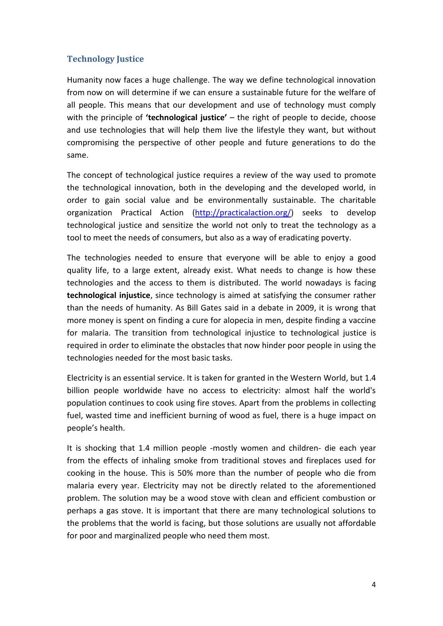## <span id="page-3-0"></span>**Technology Justice**

Humanity now faces a huge challenge. The way we define technological innovation from now on will determine if we can ensure a sustainable future for the welfare of all people. This means that our development and use of technology must comply with the principle of **'technological justice'** – the right of people to decide, choose and use technologies that will help them live the lifestyle they want, but without compromising the perspective of other people and future generations to do the same.

The concept of technological justice requires a review of the way used to promote the technological innovation, both in the developing and the developed world, in order to gain social value and be environmentally sustainable. The charitable organization Practical Action [\(http://practicalaction.org/\)](http://practicalaction.org/) seeks to develop technological justice and sensitize the world not only to treat the technology as a tool to meet the needs of consumers, but also as a way of eradicating poverty.

The technologies needed to ensure that everyone will be able to enjoy a good quality life, to a large extent, already exist. What needs to change is how these technologies and the access to them is distributed. The world nowadays is facing **technological injustice**, since technology is aimed at satisfying the consumer rather than the needs of humanity. As Bill Gates said in a debate in 2009, it is wrong that more money is spent on finding a cure for alopecia in men, despite finding a vaccine for malaria. The transition from technological injustice to technological justice is required in order to eliminate the obstacles that now hinder poor people in using the technologies needed for the most basic tasks.

Electricity is an essential service. It is taken for granted in the Western World, but 1.4 billion people worldwide have no access to electricity: almost half the world's population continues to cook using fire stoves. Apart from the problems in collecting fuel, wasted time and inefficient burning of wood as fuel, there is a huge impact on people's health.

It is shocking that 1.4 million people -mostly women and children- die each year from the effects of inhaling smoke from traditional stoves and fireplaces used for cooking in the house. This is 50% more than the number of people who die from malaria every year. Electricity may not be directly related to the aforementioned problem. The solution may be a wood stove with clean and efficient combustion or perhaps a gas stove. It is important that there are many technological solutions to the problems that the world is facing, but those solutions are usually not affordable for poor and marginalized people who need them most.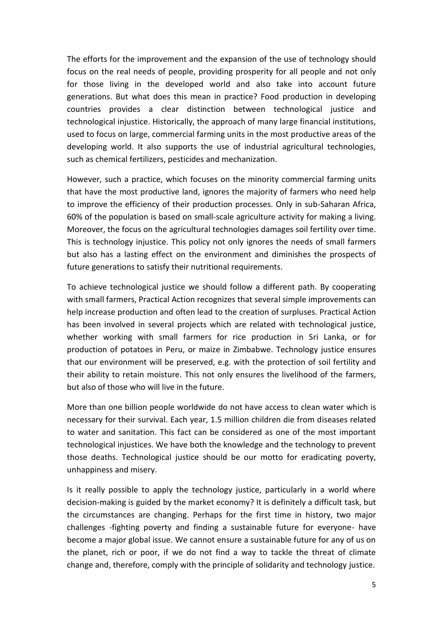The efforts for the improvement and the expansion of the use of technology should focus on the real needs of people, providing prosperity for all people and not only for those living in the developed world and also take into account future generations. But what does this mean in practice? Food production in developing countries provides a clear distinction between technological justice and technological injustice. Historically, the approach of many large financial institutions, used to focus on large, commercial farming units in the most productive areas of the developing world. It also supports the use of industrial agricultural technologies, such as chemical fertilizers, pesticides and mechanization.

However, such a practice, which focuses on the minority commercial farming units that have the most productive land, ignores the majority of farmers who need help to improve the efficiency of their production processes. Only in sub-Saharan Africa, 60% of the population is based on small-scale agriculture activity for making a living. Moreover, the focus on the agricultural technologies damages soil fertility over time. This is technology injustice. This policy not only ignores the needs of small farmers but also has a lasting effect on the environment and diminishes the prospects of future generations to satisfy their nutritional requirements.

To achieve technological justice we should follow a different path. By cooperating with small farmers, Practical Action recognizes that several simple improvements can help increase production and often lead to the creation of surpluses. Practical Action has been involved in several projects which are related with technological justice, whether working with small farmers for rice production in Sri Lanka, or for production of potatoes in Peru, or maize in Zimbabwe. Technology justice ensures that our environment will be preserved, e.g. with the protection of soil fertility and their ability to retain moisture. This not only ensures the livelihood of the farmers, but also of those who will live in the future.

More than one billion people worldwide do not have access to clean water which is necessary for their survival. Each year, 1.5 million children die from diseases related to water and sanitation. This fact can be considered as one of the most important technological injustices. We have both the knowledge and the technology to prevent those deaths. Technological justice should be our motto for eradicating poverty, unhappiness and misery.

Is it really possible to apply the technology justice, particularly in a world where decision-making is guided by the market economy? It is definitely a difficult task, but the circumstances are changing. Perhaps for the first time in history, two major challenges -fighting poverty and finding a sustainable future for everyone- have become a major global issue. We cannot ensure a sustainable future for any of us on the planet, rich or poor, if we do not find a way to tackle the threat of climate change and, therefore, comply with the principle of solidarity and technology justice.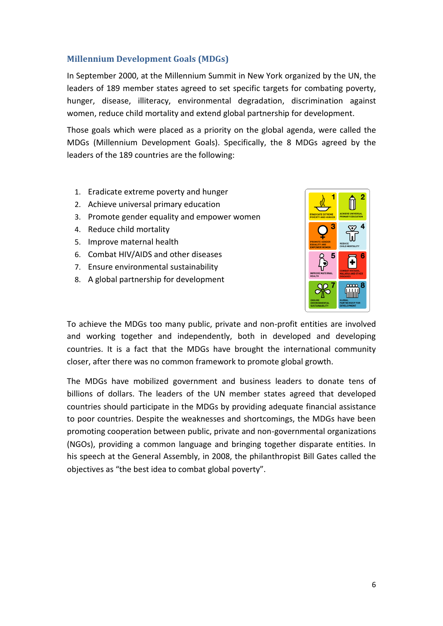## <span id="page-5-0"></span>**Millennium Development Goals (MDGs)**

In September 2000, at the Millennium Summit in New York organized by the UN, the leaders of 189 member states agreed to set specific targets for combating poverty, hunger, disease, illiteracy, environmental degradation, discrimination against women, reduce child mortality and extend global partnership for development.

Those goals which were placed as a priority on the global agenda, were called the MDGs (Millennium Development Goals). Specifically, the 8 MDGs agreed by the leaders of the 189 countries are the following:

- 1. Eradicate extreme poverty and hunger
- 2. Achieve universal primary education
- 3. Promote gender equality and empower women
- 4. Reduce child mortality
- 5. Improve maternal health
- 6. Combat HIV/AIDS and other diseases
- 7. Ensure environmental sustainability
- 8. A global partnership for development



To achieve the MDGs too many public, private and non-profit entities are involved and working together and independently, both in developed and developing countries. It is a fact that the MDGs have brought the international community closer, after there was no common framework to promote global growth.

The MDGs have mobilized government and business leaders to donate tens of billions of dollars. The leaders of the UN member states agreed that developed countries should participate in the MDGs by providing adequate financial assistance to poor countries. Despite the weaknesses and shortcomings, the MDGs have been promoting cooperation between public, private and non-governmental organizations (NGOs), providing a common language and bringing together disparate entities. In his speech at the General Assembly, in 2008, the philanthropist Bill Gates called the objectives as "the best idea to combat global poverty".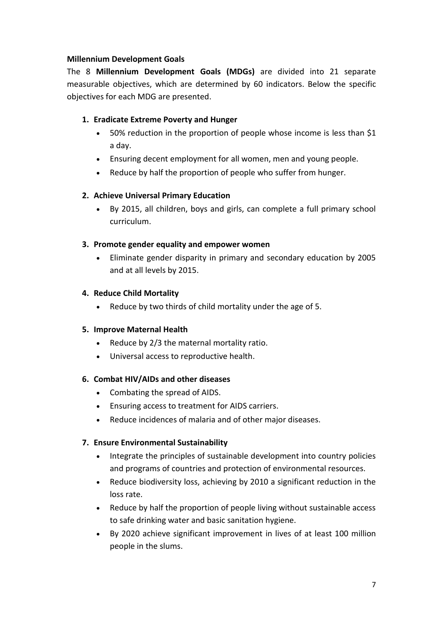## **Millennium Development Goals**

The 8 **Millennium Development Goals (MDGs)** are divided into 21 separate measurable objectives, which are determined by 60 indicators. Below the specific objectives for each MDG are presented.

## **1. Eradicate Extreme Poverty and Hunger**

- 50% reduction in the proportion of people whose income is less than \$1 a day.
- Ensuring decent employment for all women, men and young people.
- Reduce by half the proportion of people who suffer from hunger.

## **2. Achieve Universal Primary Education**

 By 2015, all children, boys and girls, can complete a full primary school curriculum.

#### **3. Promote gender equality and empower women**

 Eliminate gender disparity in primary and secondary education by 2005 and at all levels by 2015.

#### **4. Reduce Child Mortality**

Reduce by two thirds of child mortality under the age of 5.

#### **5. Improve Maternal Health**

- Reduce by 2/3 the maternal mortality ratio.
- Universal access to reproductive health.

#### **6. Combat HIV/AIDs and other diseases**

- Combating the spread of AIDS.
- Ensuring access to treatment for AIDS carriers.
- Reduce incidences of malaria and of other major diseases.

#### **7. Ensure Environmental Sustainability**

- Integrate the principles of sustainable development into country policies and programs of countries and protection of environmental resources.
- Reduce biodiversity loss, achieving by 2010 a significant reduction in the loss rate.
- Reduce by half the proportion of people living without sustainable access to safe drinking water and basic sanitation hygiene.
- By 2020 achieve significant improvement in lives of at least 100 million people in the slums.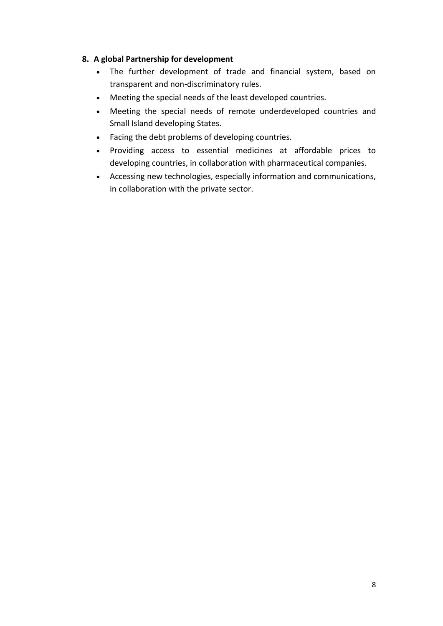## **8. A global Partnership for development**

- The further development of trade and financial system, based on transparent and non-discriminatory rules.
- Meeting the special needs of the least developed countries.
- Meeting the special needs of remote underdeveloped countries and Small Island developing States.
- Facing the debt problems of developing countries.
- Providing access to essential medicines at affordable prices to developing countries, in collaboration with pharmaceutical companies.
- Accessing new technologies, especially information and communications, in collaboration with the private sector.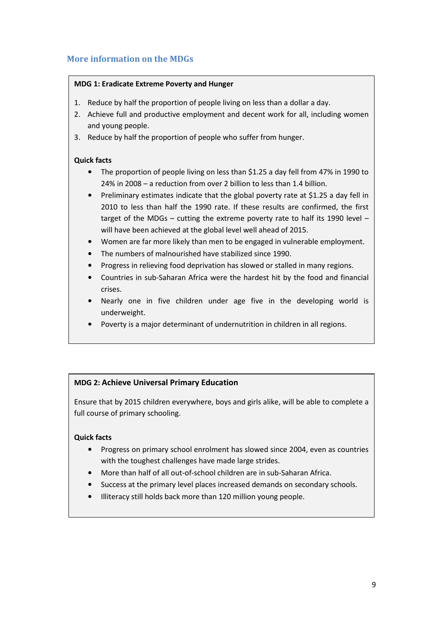## <span id="page-8-0"></span>**More information on the MDGs**

#### **MDG 1: Eradicate Extreme Poverty and Hunger**

- 1. Reduce by half the proportion of people living on less than a dollar a day.
- 2. Achieve full and productive employment and decent work for all, including women and young people.
- 3. Reduce by half the proportion of people who suffer from hunger.

#### **Quick facts**

- The proportion of people living on less than \$1.25 a day fell from 47% in 1990 to 24% in 2008 – a reduction from over 2 billion to less than 1.4 billion.
- Preliminary estimates indicate that the global poverty rate at \$1.25 a day fell in 2010 to less than half the 1990 rate. If these results are confirmed, the first target of the MDGs – cutting the extreme poverty rate to half its 1990 level – will have been achieved at the global level well ahead of 2015.
- Women are far more likely than men to be engaged in vulnerable employment.
- The numbers of malnourished have stabilized since 1990.
- Progress in relieving food deprivation has slowed or stalled in many regions.
- Countries in sub-Saharan Africa were the hardest hit by the food and financial crises.
- Nearly one in five children under age five in the developing world is underweight.
- Poverty is a major determinant of undernutrition in children in all regions.

#### **MDG 2: Achieve Universal Primary Education**

Ensure that by 2015 children everywhere, boys and girls alike, will be able to complete a full course of primary schooling.

- Progress on primary school enrolment has slowed since 2004, even as countries with the toughest challenges have made large strides.
- More than half of all out-of-school children are in sub-Saharan Africa.
- Success at the primary level places increased demands on secondary schools.
- Illiteracy still holds back more than 120 million young people.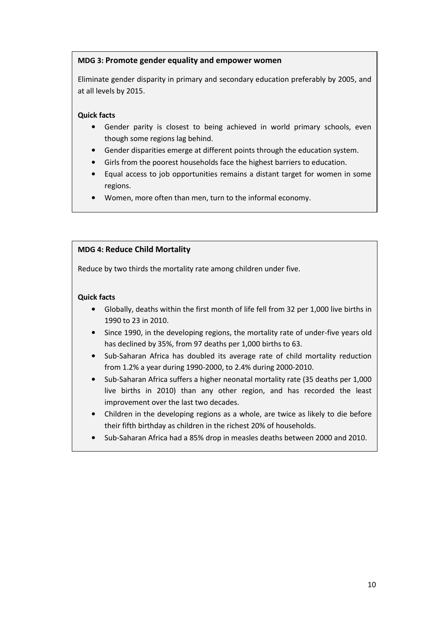#### **MDG 3: Promote gender equality and empower women**

Eliminate gender disparity in primary and secondary education preferably by 2005, and at all levels by 2015.

#### **Quick facts**

- Gender parity is closest to being achieved in world primary schools, even though some regions lag behind.
- Gender disparities emerge at different points through the education system.
- Girls from the poorest households face the highest barriers to education.
- Equal access to job opportunities remains a distant target for women in some regions.
- Women, more often than men, turn to the informal economy.

#### **MDG 4: Reduce Child Mortality**

Reduce by two thirds the mortality rate among children under five.

- Globally, deaths within the first month of life fell from 32 per 1,000 live births in 1990 to 23 in 2010.
- Since 1990, in the developing regions, the mortality rate of under-five years old has declined by 35%, from 97 deaths per 1,000 births to 63.
- Sub-Saharan Africa has doubled its average rate of child mortality reduction from 1.2% a year during 1990-2000, to 2.4% during 2000-2010.
- Sub-Saharan Africa suffers a higher neonatal mortality rate (35 deaths per 1,000 live births in 2010) than any other region, and has recorded the least improvement over the last two decades.
- Children in the developing regions as a whole, are twice as likely to die before their fifth birthday as children in the richest 20% of households.
- Sub-Saharan Africa had a 85% drop in measles deaths between 2000 and 2010.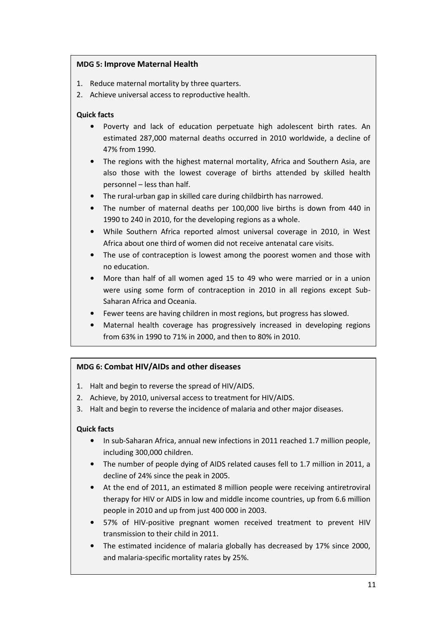#### **MDG 5: Improve Maternal Health**

- 1. Reduce maternal mortality by three quarters.
- 2. Achieve universal access to reproductive health.

## **Quick facts**

- Poverty and lack of education perpetuate high adolescent birth rates. An estimated 287,000 maternal deaths occurred in 2010 worldwide, a decline of 47% from 1990.
- The regions with the highest maternal mortality, Africa and Southern Asia, are also those with the lowest coverage of births attended by skilled health personnel – less than half.
- The rural-urban gap in skilled care during childbirth has narrowed.
- The number of maternal deaths per 100,000 live births is down from 440 in 1990 to 240 in 2010, for the developing regions as a whole.
- While Southern Africa reported almost universal coverage in 2010, in West Africa about one third of women did not receive antenatal care visits.
- The use of contraception is lowest among the poorest women and those with no education.
- More than half of all women aged 15 to 49 who were married or in a union were using some form of contraception in 2010 in all regions except Sub-Saharan Africa and Oceania.
- Fewer teens are having children in most regions, but progress has slowed.
- Maternal health coverage has progressively increased in developing regions from 63% in 1990 to 71% in 2000, and then to 80% in 2010.

## **MDG 6: Combat HIV/AIDs and other diseases**

- 1. Halt and begin to reverse the spread of HIV/AIDS.
- 2. Achieve, by 2010, universal access to treatment for HIV/AIDS.
- 3. Halt and begin to reverse the incidence of malaria and other major diseases.

- In sub-Saharan Africa, annual new infections in 2011 reached 1.7 million people, including 300,000 children.
- The number of people dying of AIDS related causes fell to 1.7 million in 2011, a decline of 24% since the peak in 2005.
- At the end of 2011, an estimated 8 million people were receiving antiretroviral therapy for HIV or AIDS in low and middle income countries, up from 6.6 million people in 2010 and up from just 400 000 in 2003.
- 57% of HIV-positive pregnant women received treatment to prevent HIV transmission to their child in 2011.
- The estimated incidence of malaria globally has decreased by 17% since 2000, and malaria-specific mortality rates by 25%.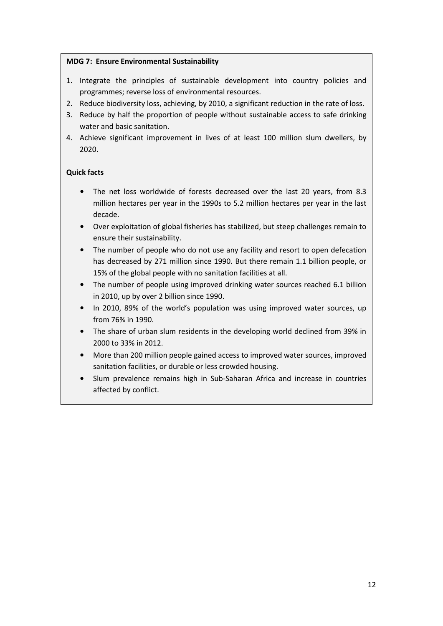#### **MDG 7: Ensure Environmental Sustainability**

- 1. Integrate the principles of sustainable development into country policies and programmes; reverse loss of environmental resources.
- 2. Reduce biodiversity loss, achieving, by 2010, a significant reduction in the rate of loss.
- 3. Reduce by half the proportion of people without sustainable access to safe drinking water and basic sanitation.
- 4. Achieve significant improvement in lives of at least 100 million slum dwellers, by 2020.

- The net loss worldwide of forests decreased over the last 20 years, from 8.3 million hectares per year in the 1990s to 5.2 million hectares per year in the last decade.
- Over exploitation of global fisheries has stabilized, but steep challenges remain to ensure their sustainability.
- The number of people who do not use any facility and resort to open defecation has decreased by 271 million since 1990. But there remain 1.1 billion people, or 15% of the global people with no sanitation facilities at all.
- The number of people using improved drinking water sources reached 6.1 billion in 2010, up by over 2 billion since 1990.
- In 2010, 89% of the world's population was using improved water sources, up from 76% in 1990.
- The share of urban slum residents in the developing world declined from 39% in 2000 to 33% in 2012.
- More than 200 million people gained access to improved water sources, improved sanitation facilities, or durable or less crowded housing.
- Slum prevalence remains high in Sub-Saharan Africa and increase in countries affected by conflict.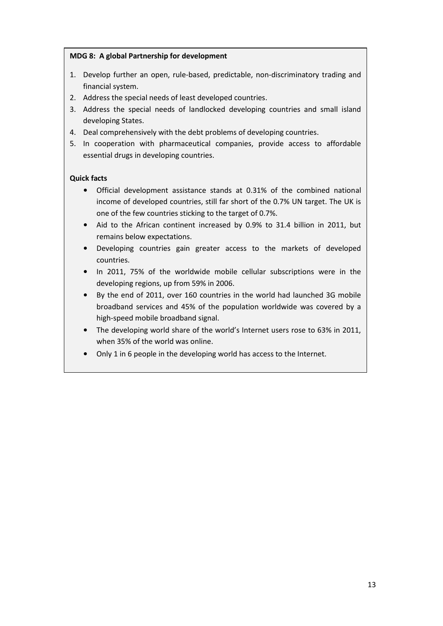#### **MDG 8: A global Partnership for development**

- 1. Develop further an open, rule-based, predictable, non-discriminatory trading and financial system.
- 2. Address the special needs of least developed countries.
- 3. Address the special needs of landlocked developing countries and small island developing States.
- 4. Deal comprehensively with the debt problems of developing countries.
- 5. In cooperation with pharmaceutical companies, provide access to affordable essential drugs in developing countries.

- Official development assistance stands at 0.31% of the combined national income of developed countries, still far short of the 0.7% UN target. The UK is one of the few countries sticking to the target of 0.7%.
- Aid to the African continent increased by 0.9% to 31.4 billion in 2011, but remains below expectations.
- Developing countries gain greater access to the markets of developed countries.
- In 2011, 75% of the worldwide mobile cellular subscriptions were in the developing regions, up from 59% in 2006.
- By the end of 2011, over 160 countries in the world had launched 3G mobile broadband services and 45% of the population worldwide was covered by a high-speed mobile broadband signal.
- The developing world share of the world's Internet users rose to 63% in 2011, when 35% of the world was online.
- Only 1 in 6 people in the developing world has access to the Internet.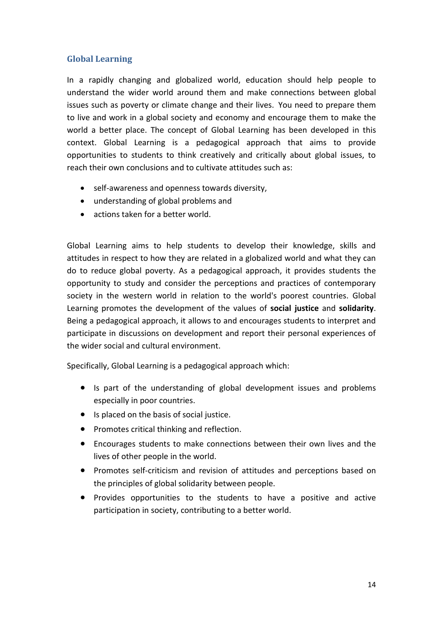## <span id="page-13-0"></span>**Global Learning**

In a rapidly changing and globalized world, education should help people to understand the wider world around them and make connections between global issues such as poverty or climate change and their lives. You need to prepare them to live and work in a global society and economy and encourage them to make the world a better place. The concept of Global Learning has been developed in this context. Global Learning is a pedagogical approach that aims to provide opportunities to students to think creatively and critically about global issues, to reach their own conclusions and to cultivate attitudes such as:

- self-awareness and openness towards diversity,
- understanding of global problems and
- actions taken for a better world.

Global Learning aims to help students to develop their knowledge, skills and attitudes in respect to how they are related in a globalized world and what they can do to reduce global poverty. As a pedagogical approach, it provides students the opportunity to study and consider the perceptions and practices of contemporary society in the western world in relation to the world's poorest countries. Global Learning promotes the development of the values of **social justice** and **solidarity**. Being a pedagogical approach, it allows to and encourages students to interpret and participate in discussions on development and report their personal experiences of the wider social and cultural environment.

Specifically, Global Learning is a pedagogical approach which:

- Is part of the understanding of global development issues and problems especially in poor countries.
- Is placed on the basis of social justice.
- Promotes critical thinking and reflection.
- Encourages students to make connections between their own lives and the lives of other people in the world.
- Promotes self-criticism and revision of attitudes and perceptions based on the principles of global solidarity between people.
- Provides opportunities to the students to have a positive and active participation in society, contributing to a better world.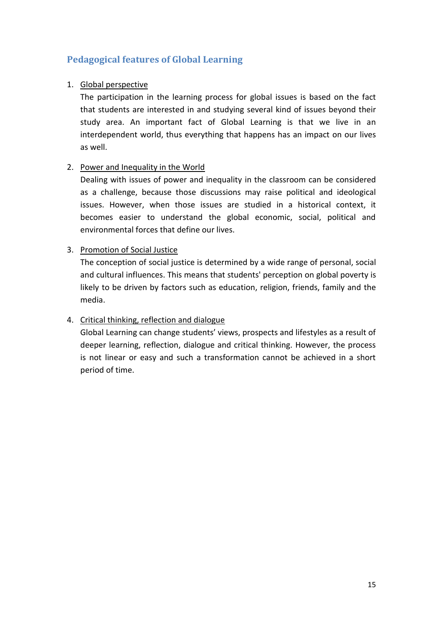## <span id="page-14-0"></span>**Pedagogical features of Global Learning**

## 1. Global perspective

The participation in the learning process for global issues is based on the fact that students are interested in and studying several kind of issues beyond their study area. An important fact of Global Learning is that we live in an interdependent world, thus everything that happens has an impact on our lives as well.

## 2. Power and Inequality in the World

Dealing with issues of power and inequality in the classroom can be considered as a challenge, because those discussions may raise political and ideological issues. However, when those issues are studied in a historical context, it becomes easier to understand the global economic, social, political and environmental forces that define our lives.

## 3. Promotion of Social Justice

The conception of social justice is determined by a wide range of personal, social and cultural influences. This means that students' perception on global poverty is likely to be driven by factors such as education, religion, friends, family and the media.

## 4. Critical thinking, reflection and dialogue

Global Learning can change students' views, prospects and lifestyles as a result of deeper learning, reflection, dialogue and critical thinking. However, the process is not linear or easy and such a transformation cannot be achieved in a short period of time.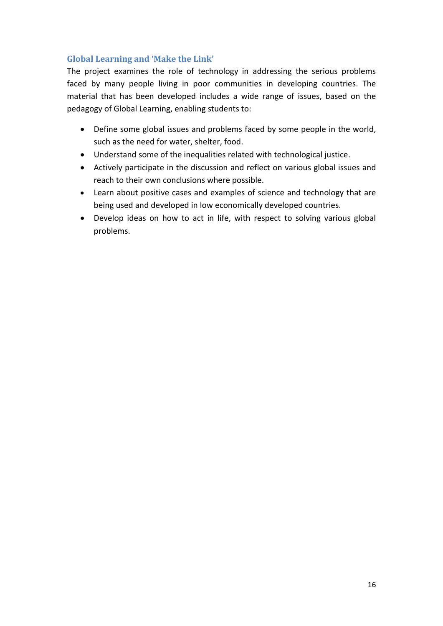## <span id="page-15-0"></span>**Global Learning and 'Make the Link'**

The project examines the role of technology in addressing the serious problems faced by many people living in poor communities in developing countries. The material that has been developed includes a wide range of issues, based on the pedagogy of Global Learning, enabling students to:

- Define some global issues and problems faced by some people in the world, such as the need for water, shelter, food.
- Understand some of the inequalities related with technological justice.
- Actively participate in the discussion and reflect on various global issues and reach to their own conclusions where possible.
- Learn about positive cases and examples of science and technology that are being used and developed in low economically developed countries.
- Develop ideas on how to act in life, with respect to solving various global problems.